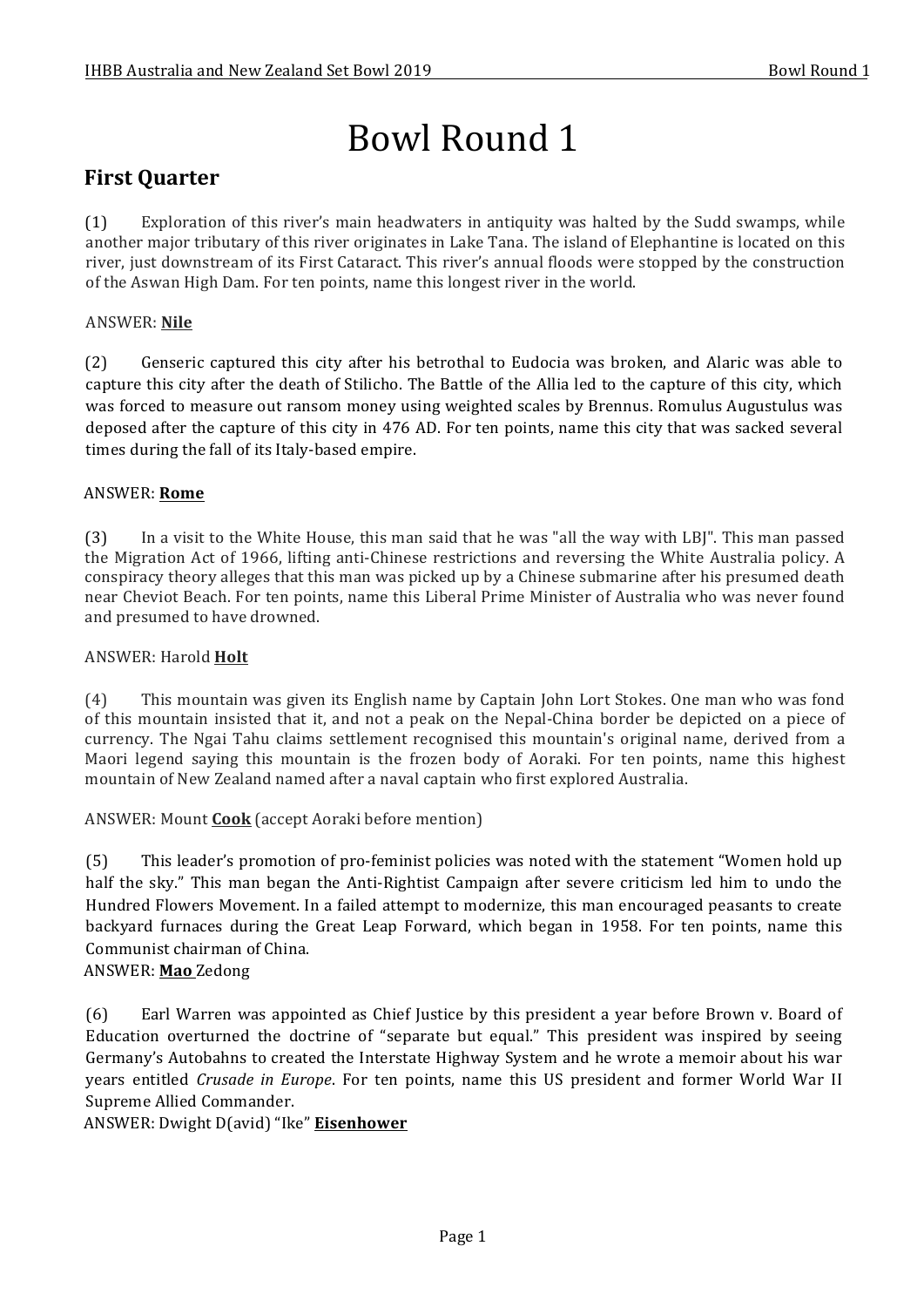# Bowl Round 1

# **First Quarter**

(1) Exploration of this river's main headwaters in antiquity was halted by the Sudd swamps, while another major tributary of this river originates in Lake Tana. The island of Elephantine is located on this river, just downstream of its First Cataract. This river's annual floods were stopped by the construction of the Aswan High Dam. For ten points, name this longest river in the world.

### ANSWER: **Nile**

(2) Genseric captured this city after his betrothal to Eudocia was broken, and Alaric was able to capture this city after the death of Stilicho. The Battle of the Allia led to the capture of this city, which was forced to measure out ransom money using weighted scales by Brennus. Romulus Augustulus was deposed after the capture of this city in 476 AD. For ten points, name this city that was sacked several times during the fall of its Italy-based empire.

### ANSWER: **Rome**

(3) In a visit to the White House, this man said that he was "all the way with LBJ". This man passed the Migration Act of 1966, lifting anti-Chinese restrictions and reversing the White Australia policy. A conspiracy theory alleges that this man was picked up by a Chinese submarine after his presumed death near Cheviot Beach. For ten points, name this Liberal Prime Minister of Australia who was never found and presumed to have drowned.

### ANSWER: Harold **Holt**

(4) This mountain was given its English name by Captain John Lort Stokes. One man who was fond of this mountain insisted that it, and not a peak on the Nepal-China border be depicted on a piece of currency. The Ngai Tahu claims settlement recognised this mountain's original name, derived from a Maori legend saying this mountain is the frozen body of Aoraki. For ten points, name this highest mountain of New Zealand named after a naval captain who first explored Australia.

ANSWER: Mount **Cook** (accept Aoraki before mention)

(5) This leader's promotion of pro-feminist policies was noted with the statement "Women hold up half the sky." This man began the Anti-Rightist Campaign after severe criticism led him to undo the Hundred Flowers Movement. In a failed attempt to modernize, this man encouraged peasants to create backyard furnaces during the Great Leap Forward, which began in 1958. For ten points, name this Communist chairman of China.

### ANSWER: **Mao** Zedong

(6) Earl Warren was appointed as Chief Justice by this president a year before Brown v. Board of Education overturned the doctrine of "separate but equal." This president was inspired by seeing Germany's Autobahns to created the Interstate Highway System and he wrote a memoir about his war years entitled *Crusade in Europe*. For ten points, name this US president and former World War II Supreme Allied Commander.

ANSWER: Dwight D(avid) "Ike" **Eisenhower**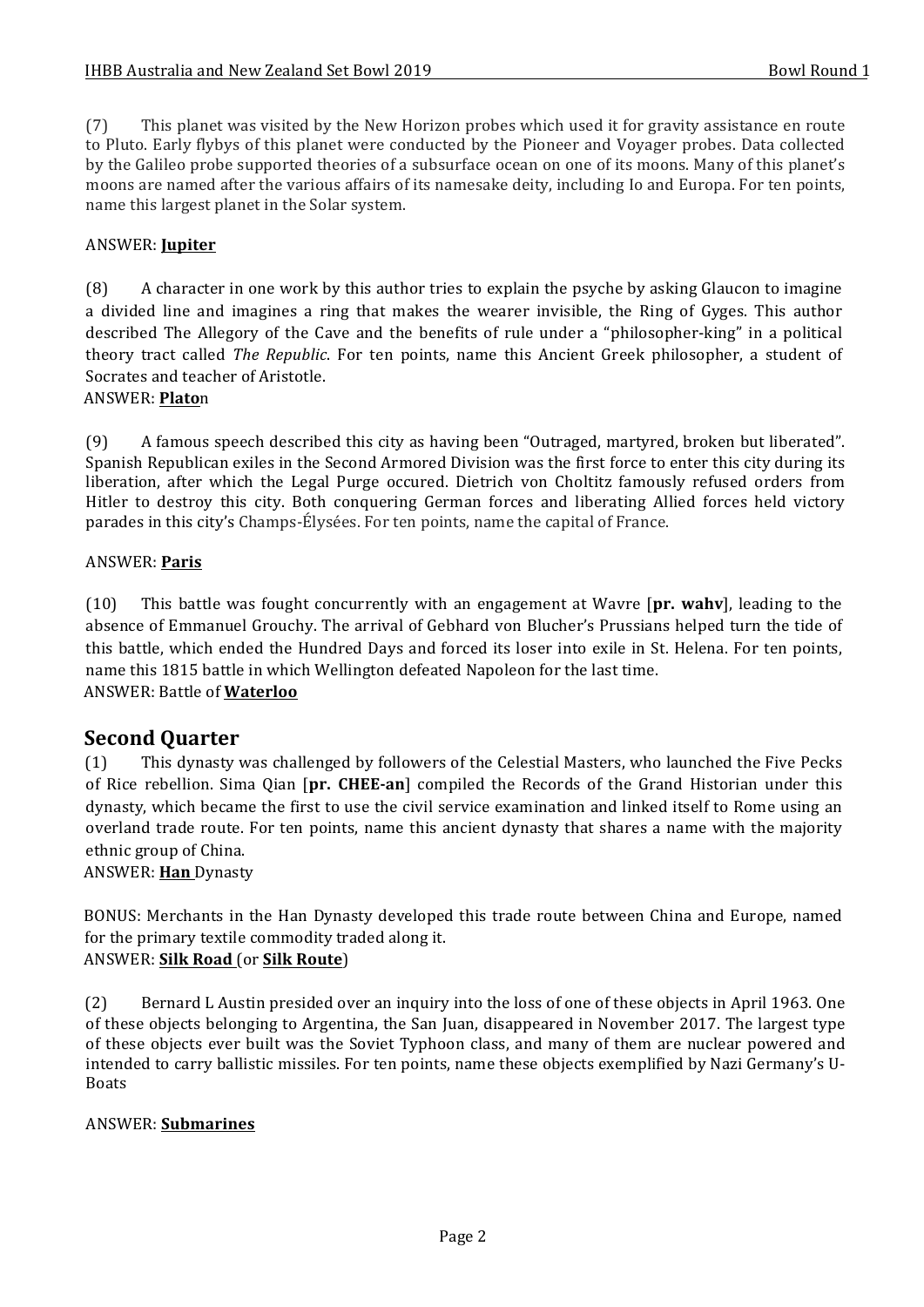(7) This planet was visited by the New Horizon probes which used it for gravity assistance en route to Pluto. Early flybys of this planet were conducted by the Pioneer and Voyager probes. Data collected by the Galileo probe supported theories of a subsurface ocean on one of its moons. Many of this planet's moons are named after the various affairs of its namesake deity, including Io and Europa. For ten points, name this largest planet in the Solar system.

### ANSWER: **Jupiter**

(8) A character in one work by this author tries to explain the psyche by asking Glaucon to imagine a divided line and imagines a ring that makes the wearer invisible, the Ring of Gyges. This author described The Allegory of the Cave and the benefits of rule under a "philosopher-king" in a political theory tract called *The Republic*. For ten points, name this Ancient Greek philosopher, a student of Socrates and teacher of Aristotle.

### ANSWER: **Plato**n

(9) A famous speech described this city as having been "Outraged, martyred, broken but liberated". Spanish Republican exiles in the Second Armored Division was the first force to enter this city during its liberation, after which the Legal Purge occured. Dietrich von Choltitz famously refused orders from Hitler to destroy this city. Both conquering German forces and liberating Allied forces held victory parades in this city's Champs-Élysées. For ten points, name the capital of France.

### ANSWER: **Paris**

(10) This battle was fought concurrently with an engagement at Wavre [pr. wahv], leading to the absence of Emmanuel Grouchy. The arrival of Gebhard von Blucher's Prussians helped turn the tide of this battle, which ended the Hundred Days and forced its loser into exile in St. Helena. For ten points, name this 1815 battle in which Wellington defeated Napoleon for the last time. ANSWER: Battle of **Waterloo**

### **Second Quarter**

(1) This dynasty was challenged by followers of the Celestial Masters, who launched the Five Pecks of Rice rebellion. Sima Qian [pr. **CHEE-an**] compiled the Records of the Grand Historian under this dynasty, which became the first to use the civil service examination and linked itself to Rome using an overland trade route. For ten points, name this ancient dynasty that shares a name with the majority ethnic group of China.

ANSWER: **Han** Dynasty

BONUS: Merchants in the Han Dynasty developed this trade route between China and Europe, named for the primary textile commodity traded along it. ANSWER: **Silk Road** (or **Silk Route**)

(2) Bernard L Austin presided over an inquiry into the loss of one of these objects in April 1963. One of these objects belonging to Argentina, the San Juan, disappeared in November 2017. The largest type of these objects ever built was the Soviet Typhoon class, and many of them are nuclear powered and intended to carry ballistic missiles. For ten points, name these objects exemplified by Nazi Germany's U-Boats

### ANSWER: **Submarines**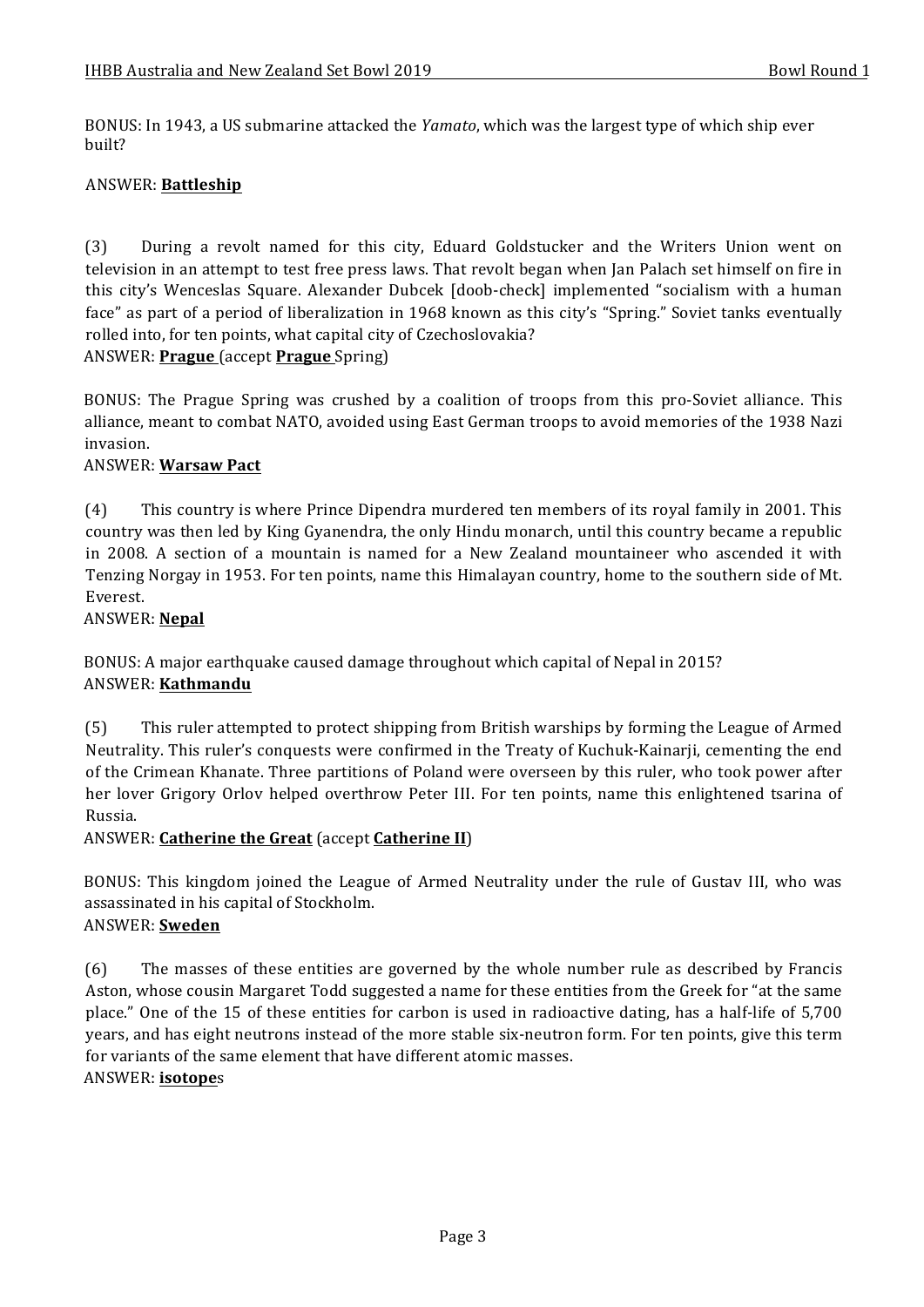BONUS: In 1943, a US submarine attacked the *Yamato*, which was the largest type of which ship ever built?

### ANSWER: **Battleship**

(3) During a revolt named for this city, Eduard Goldstucker and the Writers Union went on television in an attempt to test free press laws. That revolt began when Jan Palach set himself on fire in this city's Wenceslas Square. Alexander Dubcek [doob-check] implemented "socialism with a human face" as part of a period of liberalization in 1968 known as this city's "Spring." Soviet tanks eventually rolled into, for ten points, what capital city of Czechoslovakia? ANSWER: **Prague** (accept **Prague** Spring)

BONUS: The Prague Spring was crushed by a coalition of troops from this pro-Soviet alliance. This alliance, meant to combat NATO, avoided using East German troops to avoid memories of the 1938 Nazi invasion.

### ANSWER: **Warsaw Pact**

(4) This country is where Prince Dipendra murdered ten members of its royal family in 2001. This country was then led by King Gyanendra, the only Hindu monarch, until this country became a republic in 2008. A section of a mountain is named for a New Zealand mountaineer who ascended it with Tenzing Norgay in 1953. For ten points, name this Himalayan country, home to the southern side of Mt. Everest.

#### ANSWER: **Nepal**

BONUS: A major earthquake caused damage throughout which capital of Nepal in 2015? ANSWER: **Kathmandu**

(5) This ruler attempted to protect shipping from British warships by forming the League of Armed Neutrality. This ruler's conquests were confirmed in the Treaty of Kuchuk-Kainarji, cementing the end of the Crimean Khanate. Three partitions of Poland were overseen by this ruler, who took power after her lover Grigory Orlov helped overthrow Peter III. For ten points, name this enlightened tsarina of Russia.

### ANSWER: **Catherine the Great** (accept **Catherine II**)

BONUS: This kingdom joined the League of Armed Neutrality under the rule of Gustav III, who was assassinated in his capital of Stockholm. ANSWER: **Sweden**

## (6) The masses of these entities are governed by the whole number rule as described by Francis Aston, whose cousin Margaret Todd suggested a name for these entities from the Greek for "at the same place." One of the 15 of these entities for carbon is used in radioactive dating, has a half-life of 5,700 years, and has eight neutrons instead of the more stable six-neutron form. For ten points, give this term for variants of the same element that have different atomic masses.

#### ANSWER: **isotope**s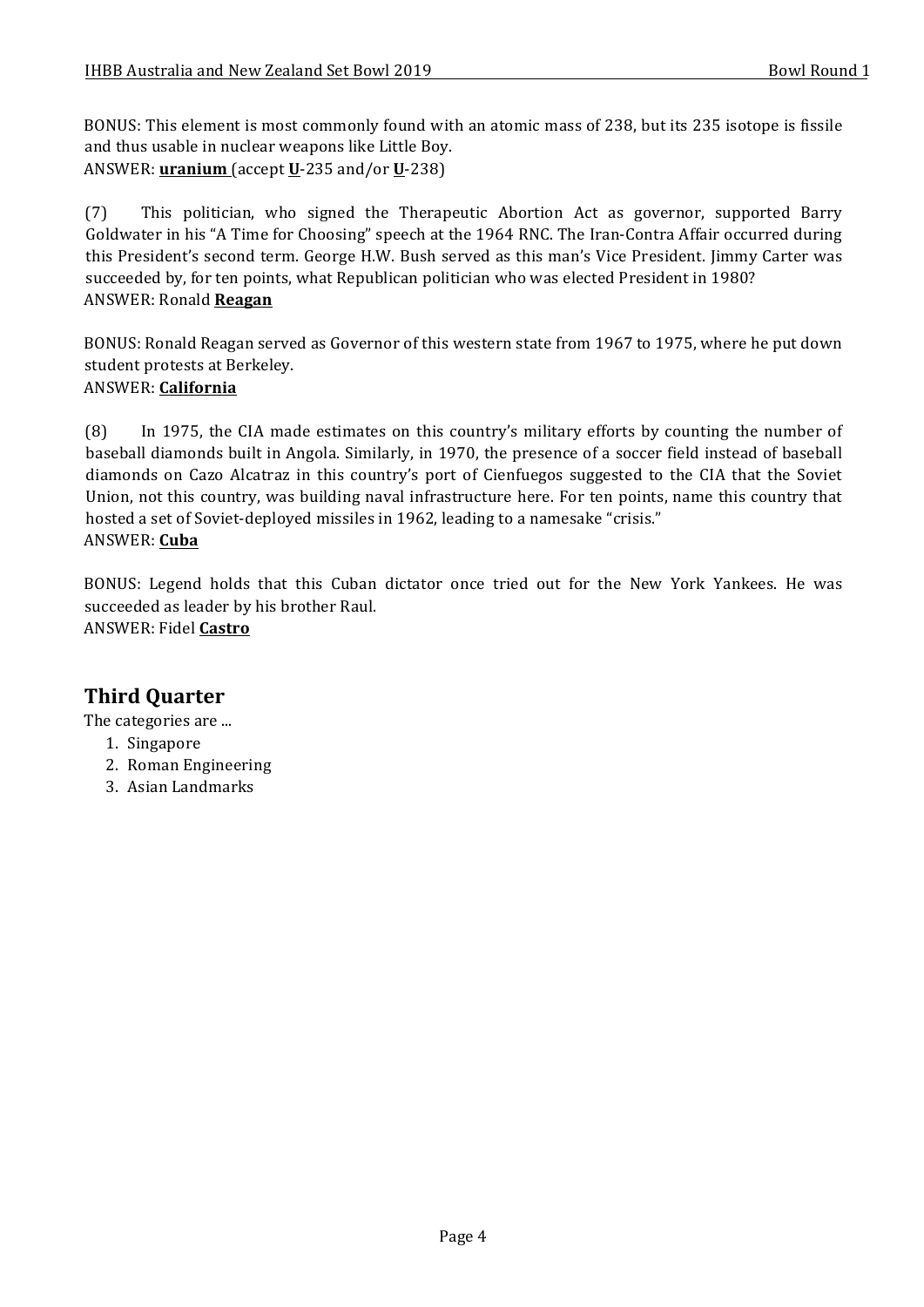BONUS: This element is most commonly found with an atomic mass of 238, but its 235 isotope is fissile and thus usable in nuclear weapons like Little Boy. ANSWER: **uranium** (accept **U**-235 and/or **U**-238)

(7) This politician, who signed the Therapeutic Abortion Act as governor, supported Barry Goldwater in his "A Time for Choosing" speech at the 1964 RNC. The Iran-Contra Affair occurred during this President's second term. George H.W. Bush served as this man's Vice President. Jimmy Carter was succeeded by, for ten points, what Republican politician who was elected President in 1980? ANSWER: Ronald **Reagan**

BONUS: Ronald Reagan served as Governor of this western state from 1967 to 1975, where he put down student protests at Berkeley. ANSWER: **California**

(8) In 1975, the CIA made estimates on this country's military efforts by counting the number of baseball diamonds built in Angola. Similarly, in 1970, the presence of a soccer field instead of baseball diamonds on Cazo Alcatraz in this country's port of Cienfuegos suggested to the CIA that the Soviet Union, not this country, was building naval infrastructure here. For ten points, name this country that hosted a set of Soviet-deployed missiles in 1962, leading to a namesake "crisis." ANSWER: **Cuba**

BONUS: Legend holds that this Cuban dictator once tried out for the New York Yankees. He was succeeded as leader by his brother Raul. ANSWER: Fidel **Castro**

## **Third Quarter**

The categories are ...

- 1. Singapore
- 2. Roman Engineering
- 3. Asian Landmarks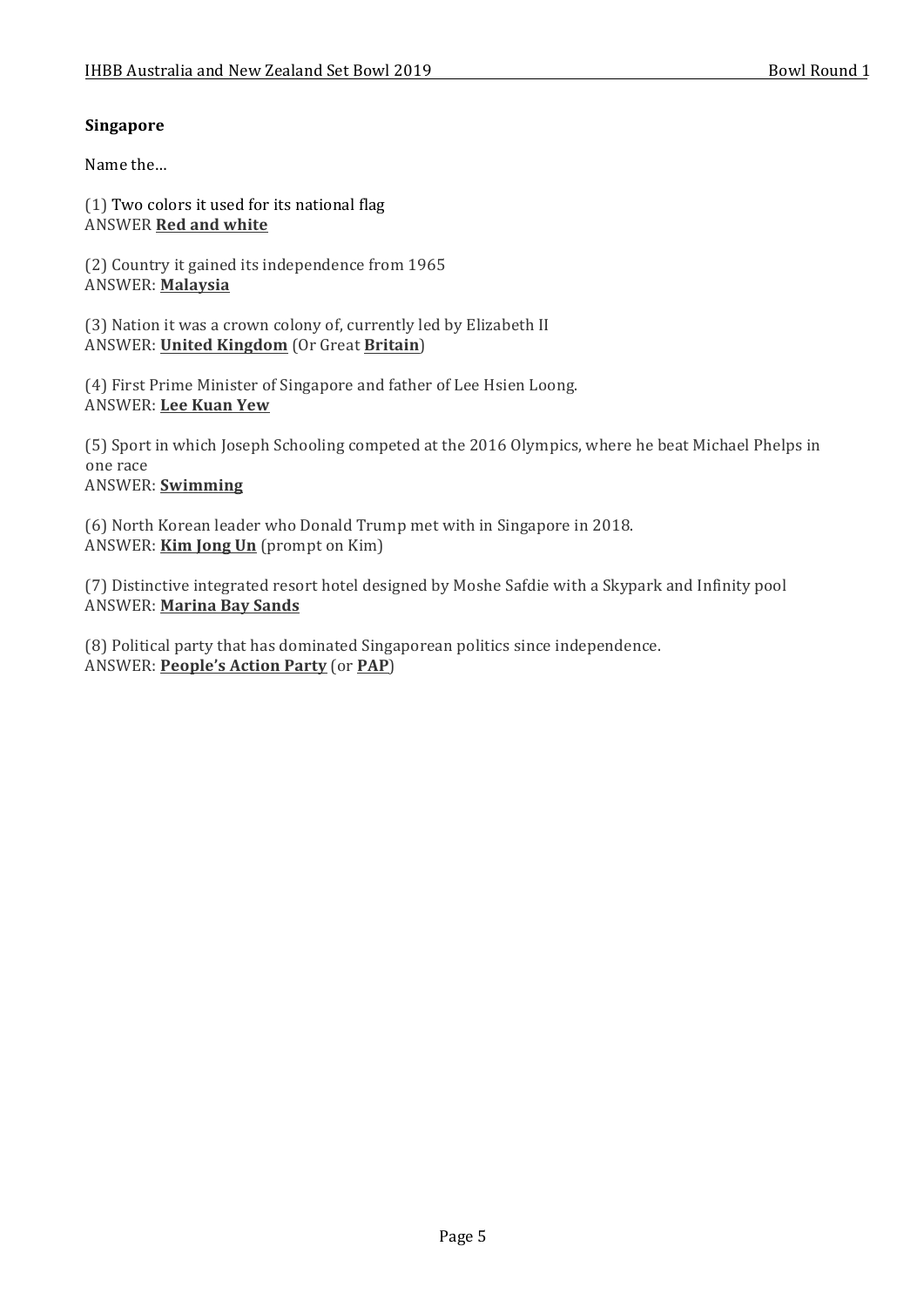### **Singapore**

Name the...

 $(1)$  Two colors it used for its national flag **ANSWER Red and white** 

(2) Country it gained its independence from 1965 ANSWER: **Malaysia**

(3) Nation it was a crown colony of, currently led by Elizabeth II ANSWER: **United Kingdom** (Or Great **Britain**)

(4) First Prime Minister of Singapore and father of Lee Hsien Loong. ANSWER: **Lee Kuan Yew**

(5) Sport in which Joseph Schooling competed at the 2016 Olympics, where he beat Michael Phelps in one race ANSWER: **Swimming**

(6) North Korean leader who Donald Trump met with in Singapore in 2018. ANSWER: **Kim Jong Un** (prompt on Kim)

(7) Distinctive integrated resort hotel designed by Moshe Safdie with a Skypark and Infinity pool ANSWER: **Marina Bay Sands**

(8) Political party that has dominated Singaporean politics since independence. ANSWER: **People's Action Party** (or **PAP**)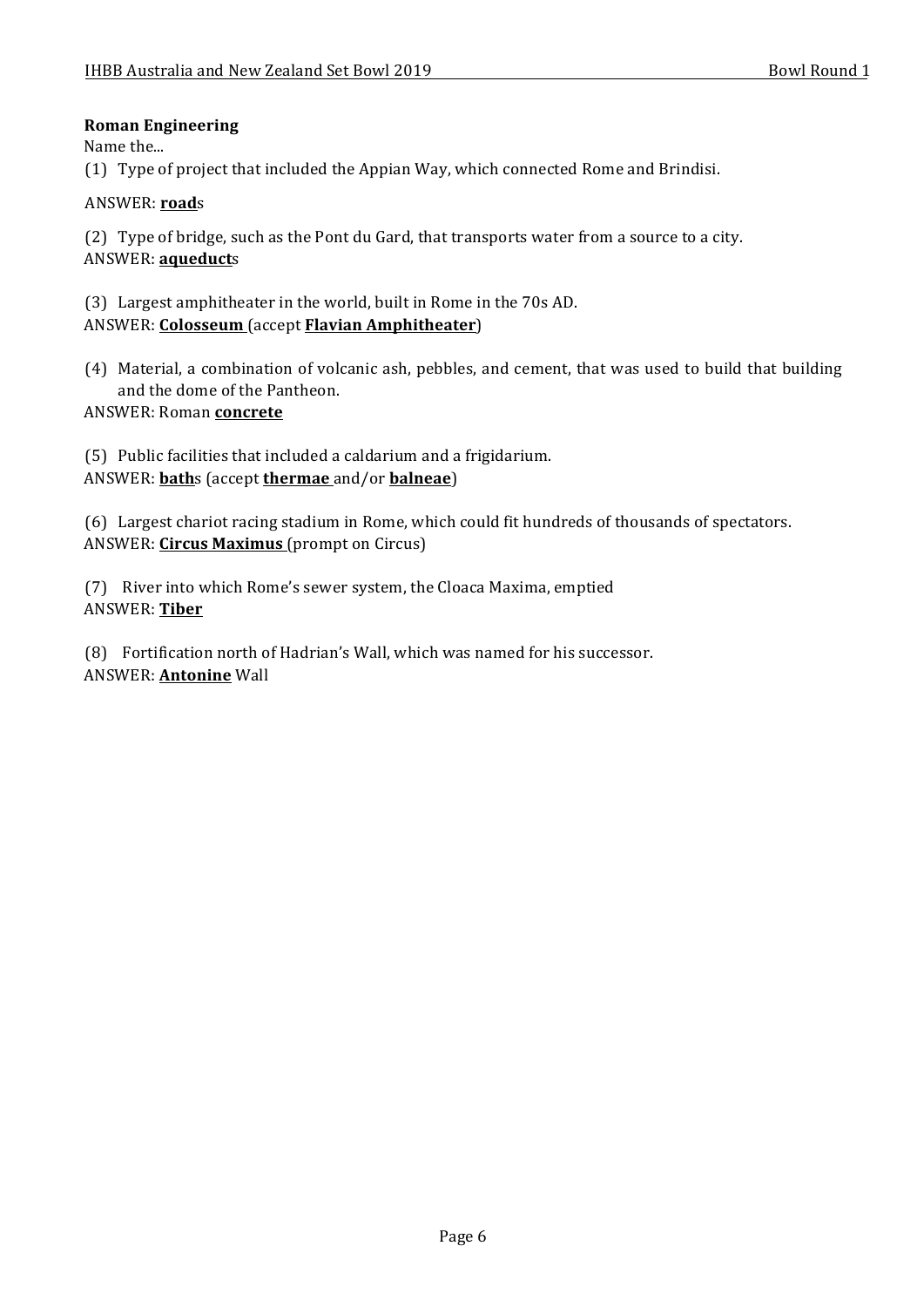### **Roman Engineering**

Name the...

(1) Type of project that included the Appian Way, which connected Rome and Brindisi.

### ANSWER: **road**s

(2) Type of bridge, such as the Pont du Gard, that transports water from a source to a city. ANSWER: **aqueduct**s

(3) Largest amphitheater in the world, built in Rome in the 70s AD. ANSWER: **Colosseum** (accept **Flavian Amphitheater**)

- (4) Material, a combination of volcanic ash, pebbles, and cement, that was used to build that building and the dome of the Pantheon.
- ANSWER: Roman **concrete**

(5) Public facilities that included a caldarium and a frigidarium. ANSWER: **bath**s (accept **thermae** and/or **balneae**)

(6) Largest chariot racing stadium in Rome, which could fit hundreds of thousands of spectators. ANSWER: **Circus Maximus** (prompt on Circus)

(7) River into which Rome's sewer system, the Cloaca Maxima, emptied ANSWER: **Tiber**

(8) Fortification north of Hadrian's Wall, which was named for his successor. ANSWER: **Antonine** Wall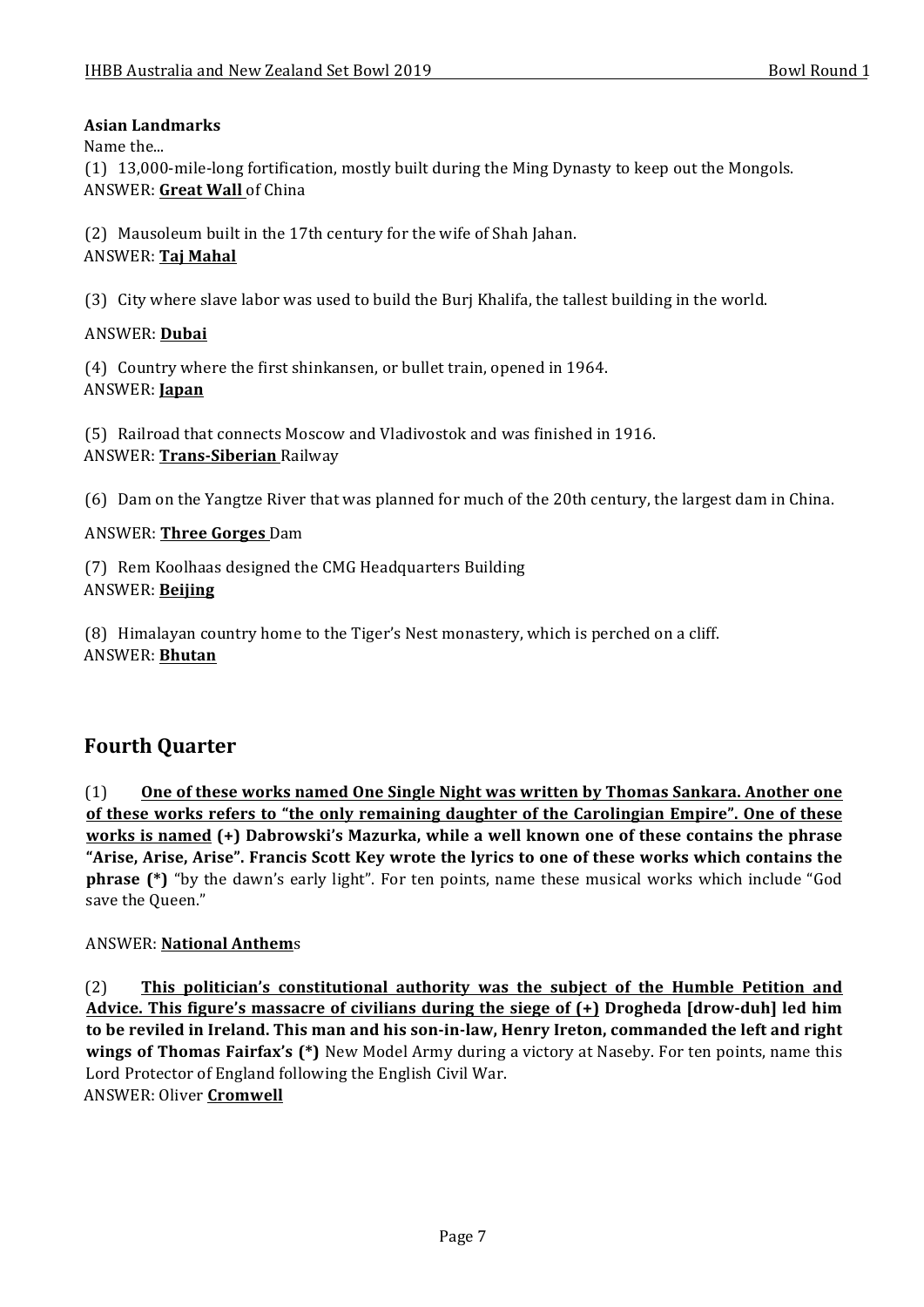### **Asian Landmarks**

Name the...

(1) 13,000-mile-long fortification, mostly built during the Ming Dynasty to keep out the Mongols. ANSWER: Great Wall of China

(2) Mausoleum built in the 17th century for the wife of Shah Jahan. ANSWER: **Taj Mahal**

(3) City where slave labor was used to build the Burj Khalifa, the tallest building in the world.

### ANSWER: **Dubai**

(4) Country where the first shinkansen, or bullet train, opened in 1964. ANSWER: **Japan**

(5) Railroad that connects Moscow and Vladivostok and was finished in 1916. ANSWER: **Trans-Siberian** Railway

(6) Dam on the Yangtze River that was planned for much of the 20th century, the largest dam in China.

### **ANSWER: Three Gorges Dam**

(7) Rem Koolhaas designed the CMG Headquarters Building ANSWER: **Beijing**

(8) Himalayan country home to the Tiger's Nest monastery, which is perched on a cliff. ANSWER: **Bhutan**

### **Fourth Quarter**

(1) One of these works named One Single Night was written by Thomas Sankara. Another one of these works refers to "the only remaining daughter of the Carolingian Empire". One of these works is named (+) Dabrowski's Mazurka, while a well known one of these contains the phrase "Arise, Arise, Arise". Francis Scott Key wrote the lyrics to one of these works which contains the **phrase** (\*) "by the dawn's early light". For ten points, name these musical works which include "God save the Queen."

### ANSWER: **National Anthem**s

(2) This politician's constitutional authority was the subject of the Humble Petition and Advice. This figure's massacre of civilians during the siege of  $(+)$  Drogheda [drow-duh] led him to be reviled in Ireland. This man and his son-in-law, Henry Ireton, commanded the left and right **wings of Thomas Fairfax's (\*)** New Model Army during a victory at Naseby. For ten points, name this Lord Protector of England following the English Civil War. ANSWER: Oliver **Cromwell**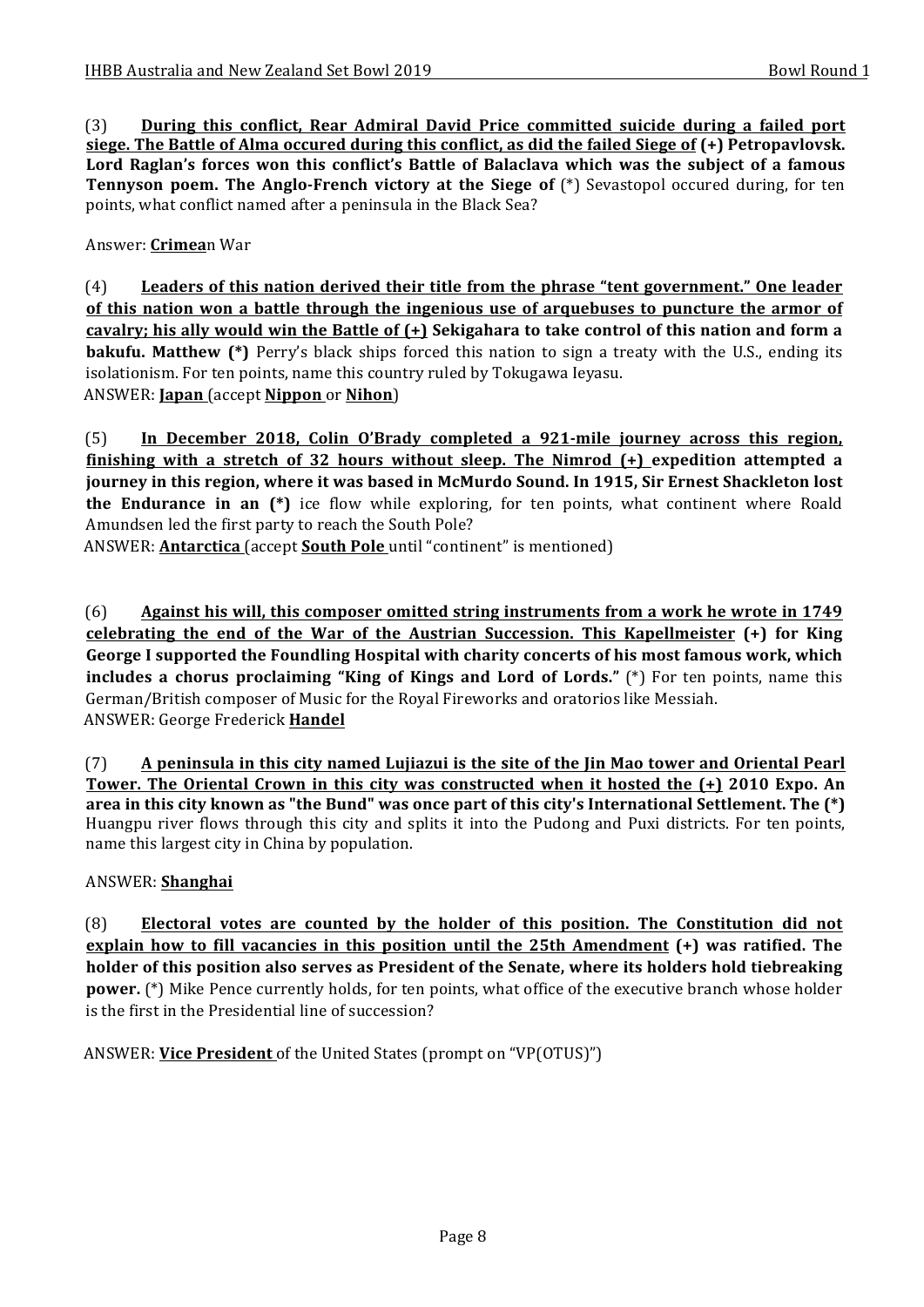(3) **During this conflict, Rear Admiral David Price committed suicide during a failed port <u>siege. The Battle of Alma occured during this conflict, as did the failed Siege of (+)</u> Petropavlovsk.** Lord Raglan's forces won this conflict's Battle of Balaclava which was the subject of a famous **Tennyson poem. The Anglo-French victory at the Siege of** (\*) Sevastopol occured during, for ten points, what conflict named after a peninsula in the Black Sea?

Answer: **Crimea**n War

(4) Leaders of this nation derived their title from the phrase "tent government." One leader of this nation won a battle through the ingenious use of arquebuses to puncture the armor of **cavalry;** his ally would win the Battle of  $(+)$  Sekigahara to take control of this nation and form a **bakufu.** Matthew (\*) Perry's black ships forced this nation to sign a treaty with the U.S., ending its isolationism. For ten points, name this country ruled by Tokugawa Ieyasu. ANSWER: **Japan** (accept **Nippon** or **Nihon**)

(5) In December 2018, Colin O'Brady completed a 921-mile journey across this region, finishing with a stretch of 32 hours without sleep. The Nimrod (+) expedition attempted a journey in this region, where it was based in McMurdo Sound. In 1915, Sir Ernest Shackleton lost **the Endurance in an**  $(*)$  ice flow while exploring, for ten points, what continent where Roald Amundsen led the first party to reach the South Pole?

ANSWER: **Antarctica** (accept **South Pole** until "continent" is mentioned)

(6) Against his will, this composer omitted string instruments from a work he wrote in 1749 **celebrating the end of the War of the Austrian Succession. This Kapellmeister (+) for King** George I supported the Foundling Hospital with charity concerts of his most famous work, which **includes a** chorus proclaiming "King of Kings and Lord of Lords." (\*) For ten points, name this German/British composer of Music for the Royal Fireworks and oratorios like Messiah. ANSWER: George Frederick **Handel**

(7) A peninsula in this city named Lujiazui is the site of the Jin Mao tower and Oriental Pearl **Tower.** The Oriental Crown in this city was constructed when it hosted the  $(+)$  2010 Expo. An **area** in this city known as "the Bund" was once part of this city's International Settlement. The  $(*)$ Huangpu river flows through this city and splits it into the Pudong and Puxi districts. For ten points, name this largest city in China by population.

### ANSWER: **Shanghai**

(8) Electoral votes are counted by the holder of this position. The Constitution did not **explain how to fill vacancies in this position until the 25th Amendment (+) was ratified. The holder** of this position also serves as President of the Senate, where its holders hold tiebreaking **power.** (\*) Mike Pence currently holds, for ten points, what office of the executive branch whose holder is the first in the Presidential line of succession?

ANSWER: Vice President of the United States (prompt on "VP(OTUS)")